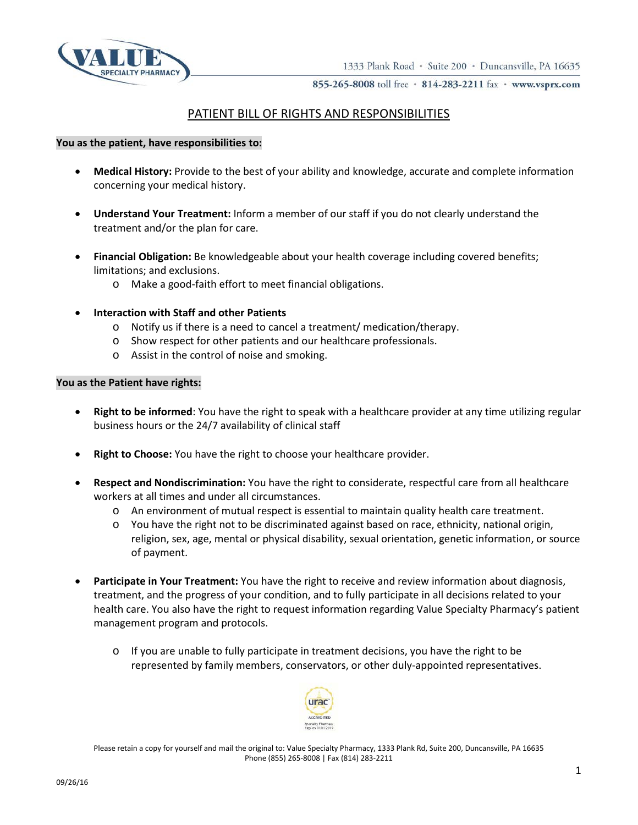



855-265-8008 toll free · 814-283-2211 fax · www.vsprx.com

## PATIENT BILL OF RIGHTS AND RESPONSIBILITIES

## **You as the patient, have responsibilities to:**

- **Medical History:** Provide to the best of your ability and knowledge, accurate and complete information concerning your medical history.
- **Understand Your Treatment:** Inform a member of our staff if you do not clearly understand the treatment and/or the plan for care.
- **Financial Obligation:** Be knowledgeable about your health coverage including covered benefits; limitations; and exclusions.
	- o Make a good-faith effort to meet financial obligations.
- **Interaction with Staff and other Patients**
	- o Notify us if there is a need to cancel a treatment/ medication/therapy.
	- o Show respect for other patients and our healthcare professionals.
	- o Assist in the control of noise and smoking.

## **You as the Patient have rights:**

- **Right to be informed**: You have the right to speak with a healthcare provider at any time utilizing regular business hours or the 24/7 availability of clinical staff
- **Right to Choose:** You have the right to choose your healthcare provider.
- **Respect and Nondiscrimination:** You have the right to considerate, respectful care from all healthcare workers at all times and under all circumstances.
	- o An environment of mutual respect is essential to maintain quality health care treatment.
	- o You have the right not to be discriminated against based on race, ethnicity, national origin, religion, sex, age, mental or physical disability, sexual orientation, genetic information, or source of payment.
- Participate in Your Treatment: You have the right to receive and review information about diagnosis, treatment, and the progress of your condition, and to fully participate in all decisions related to your health care. You also have the right to request information regarding Value Specialty Pharmacy's patient management program and protocols.
	- $\circ$  If you are unable to fully participate in treatment decisions, you have the right to be represented by family members, conservators, or other duly-appointed representatives.



Please retain a copy for yourself and mail the original to: Value Specialty Pharmacy, 1333 Plank Rd, Suite 200, Duncansville, PA 16635 Phone (855) 265-8008 | Fax (814) 283-2211